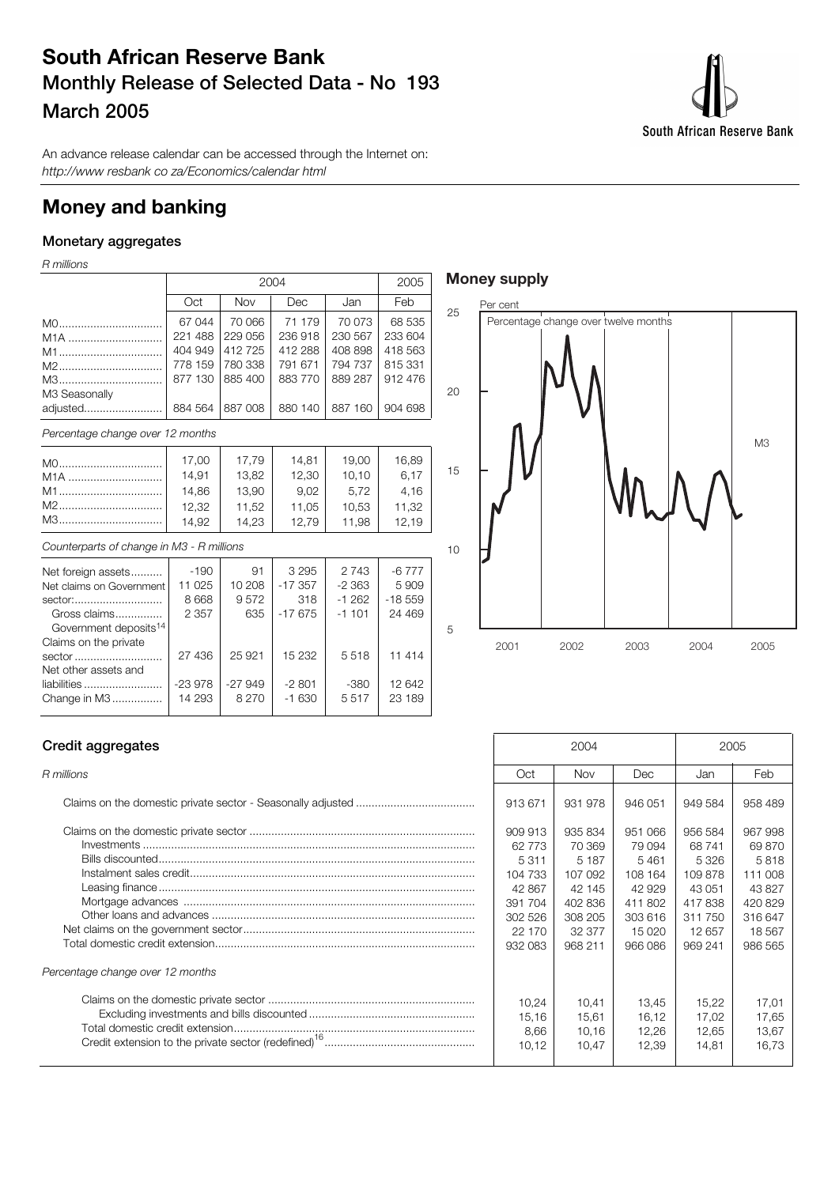# **South African Reserve Bank Monthly Release of Selected Data - No 193 March 2005**



An advance release calendar can be accessed through the Internet on: http://www resbank co za/Economics/calendar html

## **Money and banking**

## **Monetary aggregates**

R millions

|                                  |         | 2004       |         |         |         |  |  |
|----------------------------------|---------|------------|---------|---------|---------|--|--|
|                                  | Oct     | <b>Nov</b> | Dec     | Jan     | Feb     |  |  |
| M0                               | 67 044  | 70 066     | 71 179  | 70 073  | 68 535  |  |  |
| M <sub>1</sub> A                 | 221 488 | 229 056    | 236 918 | 230 567 | 233 604 |  |  |
| M1                               | 404 949 | 412725     | 412 288 | 408 898 | 418 563 |  |  |
| M2                               | 778 159 | 780 338    | 791 671 | 794 737 | 815 331 |  |  |
| M3                               | 877 130 | 885 400    | 883 770 | 889 287 | 912 476 |  |  |
| M3 Seasonally                    |         |            |         |         |         |  |  |
| adjusted                         | 884 564 | 887 008    | 880 140 | 887 160 | 904 698 |  |  |
| Percentage change over 12 months |         |            |         |         |         |  |  |
| M0                               | 17,00   | 17,79      | 14.81   | 19.00   | 16,89   |  |  |

| $\overline{\phantom{0}}$ | - 11.19 | - 14.01 | 19.UU | າບ.ບອ |
|--------------------------|---------|---------|-------|-------|
| 14.91                    | 13.82   | 12.30   | 10.10 | 6.17  |
| 14.86                    | 13.90   | 9.02    | 5.72  | 4.16  |
| 12.32                    | 11.52   | 11.05   | 10.53 | 11.32 |
| 14.92                    | 14.23   | 12.79 L | 11.98 | 12.19 |

Counterparts of change in M3 - R millions

| Net foreign assets                | $-190$   | 91       | 3 2 9 5   | 2 7 4 3 | $-6777$  |
|-----------------------------------|----------|----------|-----------|---------|----------|
| Net claims on Government          | 11 025   | 10 208   | $-17.357$ | $-2363$ | 5909     |
| sector:                           | 8 6 6 8  | 9572     | 318       | $-1262$ | $-18559$ |
| Gross claims                      | 2 3 5 7  | 635      | $-17675$  | $-1101$ | 24 4 6 9 |
| Government deposits <sup>14</sup> |          |          |           |         |          |
| Claims on the private             |          |          |           |         |          |
| sector                            | 27 436   | 25 9 21  | 15 232    | 5518    | 11 414   |
| Net other assets and              |          |          |           |         |          |
| liabilities                       | $-23978$ | $-27949$ | $-2801$   | -380    | 12 642   |
| Change in M3                      | 14 293   | 8 2 7 0  | $-1630$   | 5517    | 23 189   |
|                                   |          |          |           |         |          |

## **Money supply**



### **Credit aggregates**

| Percentage change over 12 months |
|----------------------------------|
|                                  |

| Credit aggregates                | 2004                                                                                         |                                                                                              | 2005                                                                                       |                                                                                       |                                                                                           |
|----------------------------------|----------------------------------------------------------------------------------------------|----------------------------------------------------------------------------------------------|--------------------------------------------------------------------------------------------|---------------------------------------------------------------------------------------|-------------------------------------------------------------------------------------------|
| R millions                       | Oct                                                                                          | Nov                                                                                          | Dec                                                                                        | Jan                                                                                   | Feb                                                                                       |
|                                  | 913 671                                                                                      | 931 978                                                                                      | 946 051                                                                                    | 949 584                                                                               | 958 489                                                                                   |
|                                  | 909 913<br>62 773<br>5 3 1 1<br>104 733<br>42 867<br>391 704<br>302 526<br>22 170<br>932 083 | 935 834<br>70 369<br>5 1 8 7<br>107 092<br>42 145<br>402 836<br>308 205<br>32 377<br>968 211 | 951 066<br>79 094<br>5461<br>108 164<br>42 929<br>411 802<br>303 616<br>15 0 20<br>966 086 | 956 584<br>68741<br>5326<br>109878<br>43 051<br>417838<br>311750<br>12 657<br>969 241 | 967 998<br>69 870<br>5818<br>111 008<br>43827<br>420 829<br>316 647<br>18 5 67<br>986 565 |
| Percentage change over 12 months |                                                                                              |                                                                                              |                                                                                            |                                                                                       |                                                                                           |
|                                  | 10.24<br>15.16<br>8,66<br>10,12                                                              | 10.41<br>15,61<br>10.16<br>10,47                                                             | 13.45<br>16.12<br>12.26<br>12,39                                                           | 15.22<br>17,02<br>12,65<br>14,81                                                      | 17.01<br>17,65<br>13,67<br>16,73                                                          |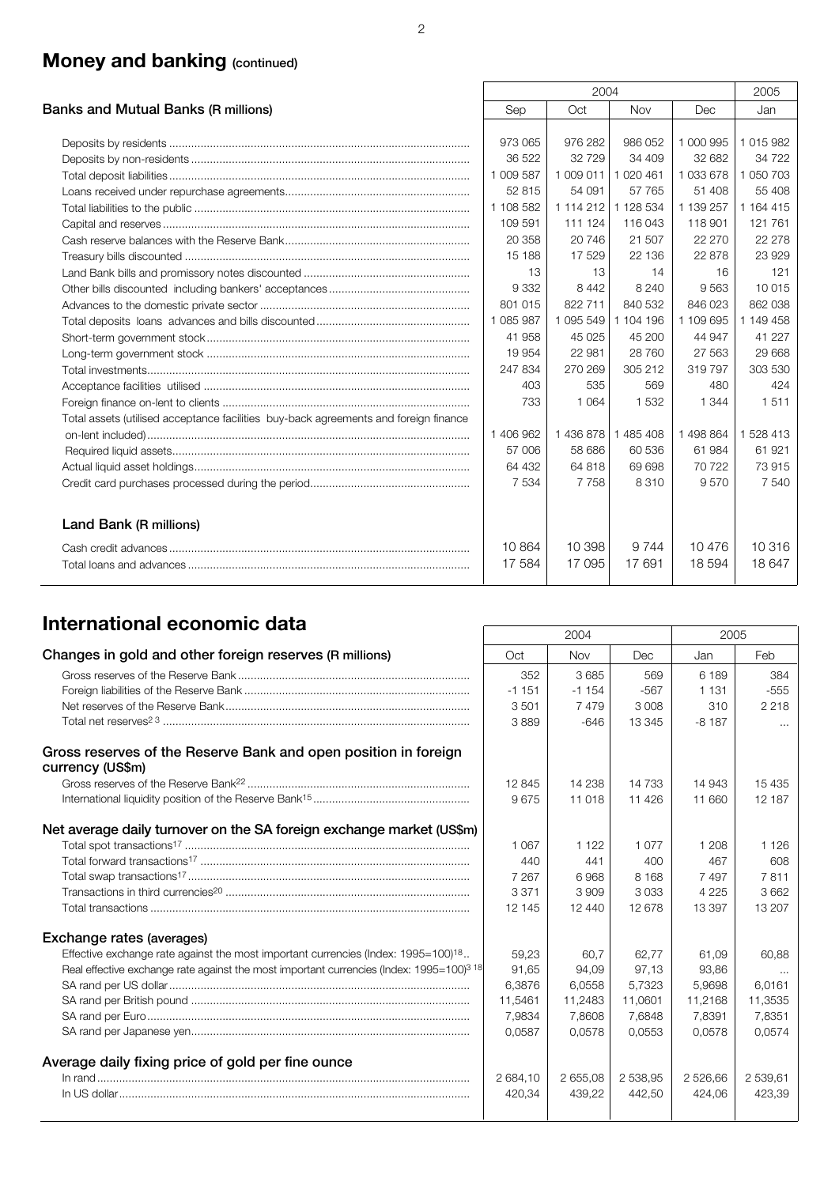# **Money and banking (continued)**

|                                                                                      |           | 2004      |               |            |           |  |
|--------------------------------------------------------------------------------------|-----------|-----------|---------------|------------|-----------|--|
| Banks and Mutual Banks (R millions)                                                  | Sep       | Oct       | Nov           | <b>Dec</b> | Jan       |  |
|                                                                                      |           |           |               |            |           |  |
|                                                                                      | 973 065   | 976 282   | 986 052       | 1 000 995  | 1 015 982 |  |
|                                                                                      | 36 522    | 32729     | 34 409        | 32 682     | 34 7 22   |  |
|                                                                                      | 1 009 587 | 1 009 011 | 1 0 2 0 4 6 1 | 1 033 678  | 1 050 703 |  |
|                                                                                      | 52 815    | 54 091    | 57 765        | 51 408     | 55 408    |  |
|                                                                                      | 1 108 582 | 1 114 212 | 1 128 534     | 1 139 257  | 1 164 415 |  |
|                                                                                      | 109 591   | 111 124   | 116 043       | 118 901    | 121 761   |  |
|                                                                                      | 20 358    | 20746     | 21 507        | 22 270     | 22 278    |  |
|                                                                                      | 15 188    | 17529     | 22 136        | 22 878     | 23 929    |  |
|                                                                                      | 13        | 13        | 14            | 16         | 121       |  |
|                                                                                      | 9332      | 8 4 4 2   | 8 2 4 0       | 9 5 6 3    | 10 015    |  |
|                                                                                      | 801 015   | 822 711   | 840 532       | 846 023    | 862 038   |  |
|                                                                                      | 1 085 987 | 1 095 549 | 1 104 196     | 1 109 695  | 1 149 458 |  |
|                                                                                      | 41 958    | 45 0 25   | 45 200        | 44 947     | 41 227    |  |
|                                                                                      | 19 954    | 22 981    | 28 760        | 27 5 63    | 29 6 68   |  |
|                                                                                      | 247 834   | 270 269   | 305 212       | 319 797    | 303 530   |  |
|                                                                                      | 403       | 535       | 569           | 480        | 424       |  |
|                                                                                      | 733       | 1 0 6 4   | 1 532         | 1 3 4 4    | 1511      |  |
| Total assets (utilised acceptance facilities buy-back agreements and foreign finance |           |           |               |            |           |  |
|                                                                                      | 1 406 962 | 1436878   | 1 485 408     | 1498864    | 1 528 413 |  |
|                                                                                      | 57 006    | 58 686    | 60 536        | 61 984     | 61 921    |  |
|                                                                                      | 64 432    | 64 818    | 69 698        | 70 722     | 73915     |  |
|                                                                                      | 7 5 3 4   | 7758      | 8310          | 9570       | 7 540     |  |
| Land Bank (R millions)                                                               |           |           |               |            |           |  |
|                                                                                      | 10 864    | 10 398    | 9 7 4 4       | 10476      | 10 316    |  |
|                                                                                      | 17 584    | 17 095    | 17691         | 18 594     | 18 647    |  |

# **International economic data** 2006 2004 2005

|                                                                                                                 |          | ZUU4     |          | ZUU5     |          |
|-----------------------------------------------------------------------------------------------------------------|----------|----------|----------|----------|----------|
| Changes in gold and other foreign reserves (R millions)                                                         | Oct      | Nov      | Dec      | Jan      | Feb      |
|                                                                                                                 | 352      | 3685     | 569      | 6 189    | 384      |
|                                                                                                                 | $-1151$  | $-1154$  | $-567$   | 1 1 3 1  | $-555$   |
|                                                                                                                 | 3501     | 7479     | 3 0 0 8  | 310      | 2 2 1 8  |
|                                                                                                                 | 3889     | $-646$   | 13 345   | $-8187$  |          |
| Gross reserves of the Reserve Bank and open position in foreign<br>currency (US\$m)                             |          |          |          |          |          |
|                                                                                                                 | 12845    | 14 238   | 14 733   | 14 943   | 15 4 35  |
|                                                                                                                 | 9675     | 11 018   | 11 4 26  | 11 660   | 12 187   |
| Net average daily turnover on the SA foreign exchange market (US\$m)                                            |          |          |          |          |          |
|                                                                                                                 | 1 0 6 7  | 1 1 2 2  | 1 0 7 7  | 1 208    | 1 1 2 6  |
|                                                                                                                 | 440      | 441      | 400      | 467      | 608      |
|                                                                                                                 | 7 2 6 7  | 6968     | 8 1 6 8  | 7 4 9 7  | 7811     |
|                                                                                                                 | 3 3 7 1  | 3909     | 3033     | 4 2 2 5  | 3662     |
|                                                                                                                 | 12 145   | 12 440   | 12 678   | 13 397   | 13 207   |
| Exchange rates (averages)                                                                                       |          |          |          |          |          |
| Effective exchange rate against the most important currencies (Index: 1995=100) <sup>18</sup>                   | 59,23    | 60.7     | 62.77    | 61.09    | 60.88    |
| Real effective exchange rate against the most important currencies (Index: 1995=100) <sup>3</sup> <sup>18</sup> | 91,65    | 94,09    | 97.13    | 93.86    | $\cdots$ |
|                                                                                                                 | 6,3876   | 6,0558   | 5,7323   | 5,9698   | 6,0161   |
|                                                                                                                 | 11,5461  | 11,2483  | 11,0601  | 11,2168  | 11,3535  |
|                                                                                                                 | 7.9834   | 7,8608   | 7.6848   | 7.8391   | 7,8351   |
|                                                                                                                 | 0.0587   | 0.0578   | 0.0553   | 0.0578   | 0.0574   |
| Average daily fixing price of gold per fine ounce                                                               |          |          |          |          |          |
|                                                                                                                 | 2 684,10 | 2 655,08 | 2 538,95 | 2 526,66 | 2 539,61 |
|                                                                                                                 | 420,34   | 439,22   | 442,50   | 424,06   | 423,39   |
|                                                                                                                 |          |          |          |          |          |

 $\mathsf{r}$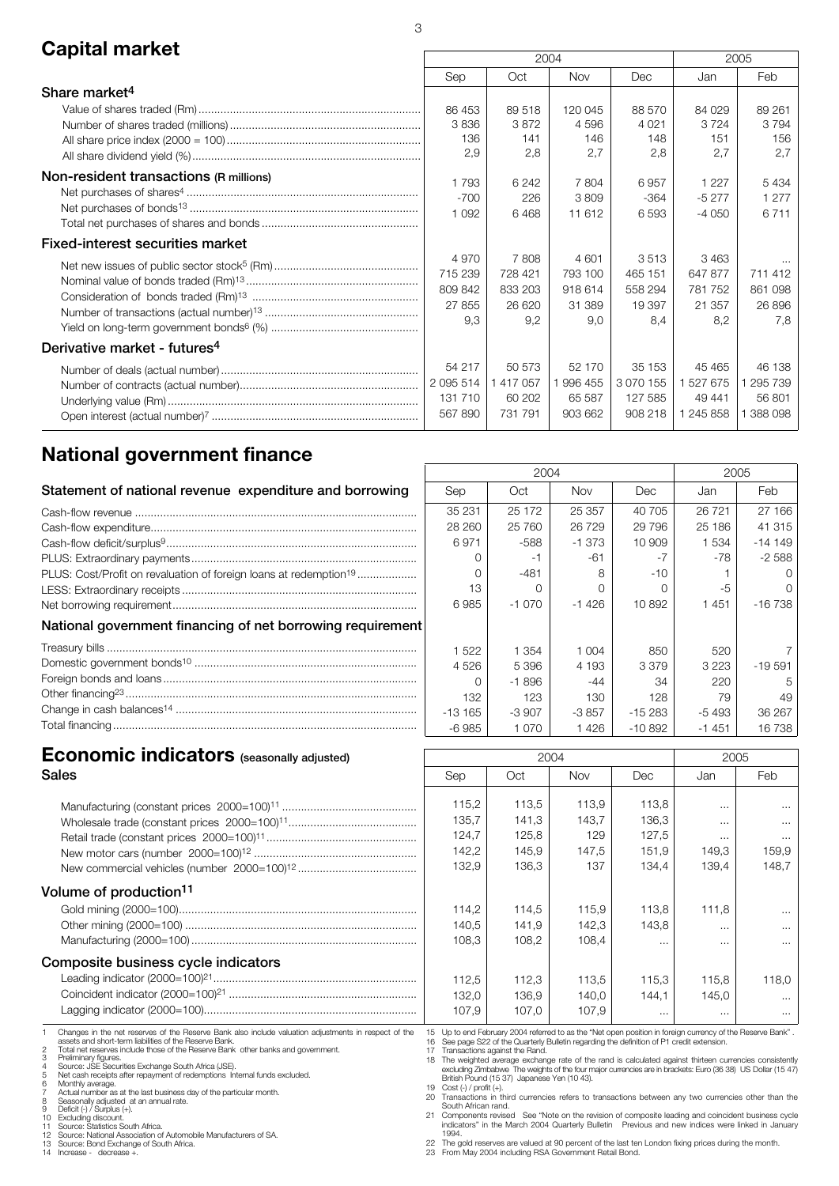# **Capital market** 2005

|                                          | ZUU4           |         |            |               | ZUUS      |                 |
|------------------------------------------|----------------|---------|------------|---------------|-----------|-----------------|
|                                          | Sep            | Oct     | <b>Nov</b> | Dec           | Jan       | Feb             |
| Share market <sup>4</sup>                |                |         |            |               |           |                 |
|                                          | 86 453         | 89 518  | 120 045    | 88 570        | 84 029    | 89 261          |
|                                          | 3836           | 3872    | 4596       | 4 0 21        | 3724      | 3794            |
|                                          | 136            | 141     | 146        | 148           | 151       | 156             |
|                                          | 2,9            | 2,8     | 2,7        | 2,8           | 2,7       | 2,7             |
| Non-resident transactions (R millions)   |                | 6 2 4 2 | 7804       | 6957          | 1 2 2 7   |                 |
|                                          | 1793<br>$-700$ |         | 3809       |               |           | 5434<br>1 2 7 7 |
|                                          |                | 226     |            | -364          | $-5277$   | 6 7 1 1         |
|                                          | 1 0 9 2        | 6468    | 11 612     | 6593          | $-4050$   |                 |
| <b>Fixed-interest securities market</b>  |                |         |            |               |           |                 |
|                                          | 4970           | 7808    | 4 601      | 3513          | 3463      | $\cdots$        |
|                                          | 715 239        | 728 421 | 793 100    | 465 151       | 647 877   | 711 412         |
|                                          | 809 842        | 833 203 | 918 614    | 558 294       | 781 752   | 861 098         |
|                                          | 27 855         | 26 620  | 31 389     | 19 397        | 21 357    | 26 896          |
|                                          | 9.3            | 9.2     | 9.0        | 8.4           | 8.2       | 7.8             |
| Derivative market - futures <sup>4</sup> |                |         |            |               |           |                 |
|                                          | 54 217         | 50 573  | 52 170     | 35 153        | 45 4 65   | 46 138          |
|                                          | 2 0 9 5 5 1 4  | 417 057 | 1 996 455  | 3 0 7 0 1 5 5 | 1 527 675 | 1 295 739       |
|                                          | 131 710        | 60 202  | 65 587     | 127 585       | 49 441    | 56801           |
|                                          | 567 890        | 731 791 | 903 662    | 908 218       | 1 245 858 | 1 388 098       |
|                                          |                |         |            |               |           |                 |

## **National government finance**

|                                                                               | 2004     |          |            |           | 2005    |              |
|-------------------------------------------------------------------------------|----------|----------|------------|-----------|---------|--------------|
| Statement of national revenue expenditure and borrowing                       | Sep      | Oct      | <b>Nov</b> | Dec       | Jan     | Feb          |
|                                                                               | 35 231   | 25 172   | 25 357     | 40 705    | 26 721  | 27 166       |
|                                                                               | 28 260   | 25 760   | 26 7 29    | 29 7 9 6  | 25 186  | 41 315       |
|                                                                               | 6971     | -588     | $-1.373$   | 10 909    | 1 534   | $-14149$     |
|                                                                               |          |          | $-61$      |           | -78     | $-2.588$     |
| PLUS: Cost/Profit on revaluation of foreign loans at redemption <sup>19</sup> |          | -481     | 8          | $-10$     |         |              |
|                                                                               | 13       |          |            |           |         | <sup>n</sup> |
|                                                                               | 6985     | -1 070   | $-1426$    | 10892     | 1451    | -16 738      |
| National government financing of net borrowing requirement                    |          |          |            |           |         |              |
|                                                                               | 1522     | 1 3 5 4  | 1 0 0 4    | 850       | 520     |              |
|                                                                               | 4526     | 5 3 9 6  | 4 193      | 3379      | 3 2 2 3 | $-19.591$    |
|                                                                               |          | $-1.896$ | -44        | 34        | 220     | 5            |
|                                                                               | 132      | 123      | 130        | 128       | 79      | 49           |
|                                                                               | $-13165$ | -3 907   | -3 857     | $-15283$  | -5 493  | 36 267       |
|                                                                               | $-6985$  | 1070     | 1426       | $-10.892$ | $-1451$ | 16 738       |

 $\Gamma$ 

| <b>Economic indicators</b> (seasonally adjusted)                                                                                                                                                                                                                                                                                                                                                                                                                                                                                                                                                                                                                                                                                                                                                                        | 2004<br>2005                                                                                   |                                                                                                                                                                                                                                                                                                                                                                                                                                                                                                                                                                                                                                                                                                                                                                                                                                                                                                                                                                        |                         |                            |                               |                                  |
|-------------------------------------------------------------------------------------------------------------------------------------------------------------------------------------------------------------------------------------------------------------------------------------------------------------------------------------------------------------------------------------------------------------------------------------------------------------------------------------------------------------------------------------------------------------------------------------------------------------------------------------------------------------------------------------------------------------------------------------------------------------------------------------------------------------------------|------------------------------------------------------------------------------------------------|------------------------------------------------------------------------------------------------------------------------------------------------------------------------------------------------------------------------------------------------------------------------------------------------------------------------------------------------------------------------------------------------------------------------------------------------------------------------------------------------------------------------------------------------------------------------------------------------------------------------------------------------------------------------------------------------------------------------------------------------------------------------------------------------------------------------------------------------------------------------------------------------------------------------------------------------------------------------|-------------------------|----------------------------|-------------------------------|----------------------------------|
| <b>Sales</b>                                                                                                                                                                                                                                                                                                                                                                                                                                                                                                                                                                                                                                                                                                                                                                                                            | Sep                                                                                            | Oct                                                                                                                                                                                                                                                                                                                                                                                                                                                                                                                                                                                                                                                                                                                                                                                                                                                                                                                                                                    | Nov                     | Dec                        | Jan                           | Feb                              |
|                                                                                                                                                                                                                                                                                                                                                                                                                                                                                                                                                                                                                                                                                                                                                                                                                         | 115,2<br>135,7                                                                                 | 113.5<br>141.3                                                                                                                                                                                                                                                                                                                                                                                                                                                                                                                                                                                                                                                                                                                                                                                                                                                                                                                                                         | 113.9<br>143,7          | 113.8<br>136,3             | $\cdots$<br>$\cdots$          | $\cdots$                         |
|                                                                                                                                                                                                                                                                                                                                                                                                                                                                                                                                                                                                                                                                                                                                                                                                                         | 124,7<br>142,2<br>132,9                                                                        | 125,8<br>145,9<br>136,3                                                                                                                                                                                                                                                                                                                                                                                                                                                                                                                                                                                                                                                                                                                                                                                                                                                                                                                                                | 129<br>147,5<br>137     | 127,5<br>151,9<br>134.4    | $\cdots$<br>149.3<br>139.4    | $\cdots$<br>159,9<br>148.7       |
| Volume of production <sup>11</sup><br>Composite business cycle indicators                                                                                                                                                                                                                                                                                                                                                                                                                                                                                                                                                                                                                                                                                                                                               | 114.2<br>140,5<br>108,3                                                                        | 114.5<br>141,9<br>108.2                                                                                                                                                                                                                                                                                                                                                                                                                                                                                                                                                                                                                                                                                                                                                                                                                                                                                                                                                | 115.9<br>142,3<br>108,4 | 113.8<br>143,8<br>$\cdots$ | 111.8<br>$\cdots$<br>$\cdots$ | $\cdots$<br>$\cdots$<br>$\cdots$ |
|                                                                                                                                                                                                                                                                                                                                                                                                                                                                                                                                                                                                                                                                                                                                                                                                                         | 112,5<br>132,0<br>107.9                                                                        | 112,3<br>136,9<br>107.0                                                                                                                                                                                                                                                                                                                                                                                                                                                                                                                                                                                                                                                                                                                                                                                                                                                                                                                                                | 113,5<br>140,0<br>107.9 | 115,3<br>144,1<br>$\cdots$ | 115.8<br>145.0<br>$\cdots$    | 118,0<br>$\cdots$<br>$\cdots$    |
| Changes in the net reserves of the Reserve Bank also include valuation adjustments in respect of the<br>assets and short-term liabilities of the Reserve Bank.<br>Total net reserves include those of the Reserve Bank other banks and government.<br>Preliminary figures.<br>Source: JSE Securities Exchange South Africa (JSE).<br>Net cash receipts after repayment of redemptions Internal funds excluded.<br>6<br>Monthly average.<br>Actual number as at the last business day of the particular month.<br>Seasonally adjusted at an annual rate.<br>Deficit (-) / Surplus (+).<br>10 <sup>10</sup><br>Excluding discount.<br>11 Source: Statistics South Africa.<br>12 Source: National Association of Automobile Manufacturers of SA.<br>13 Source: Bond Exchange of South Africa.<br>14 Increase - decrease +. | 17 Transactions against the Rand.<br>19 Cost (-) / profit (+).<br>South African rand.<br>1994. | 15 Up to end February 2004 referred to as the "Net open position in foreign currency of the Reserve Bank".<br>16 See page S22 of the Quarterly Bulletin regarding the definition of P1 credit extension.<br>18 The weighted average exchange rate of the rand is calculated against thirteen currencies consistently<br>excluding Zimbabwe The weights of the four major currencies are in brackets: Euro (36 38) US Dollar (15 47)<br>British Pound (15 37) Japanese Yen (10 43).<br>20 Transactions in third currencies refers to transactions between any two currencies other than the<br>21 Components revised See "Note on the revision of composite leading and coincident business cycle<br>indicators" in the March 2004 Quarterly Bulletin Previous and new indices were linked in January<br>22 The gold reserves are valued at 90 percent of the last ten London fixing prices during the month.<br>23 From May 2004 including RSA Government Retail Bond. |                         |                            |                               |                                  |

٦